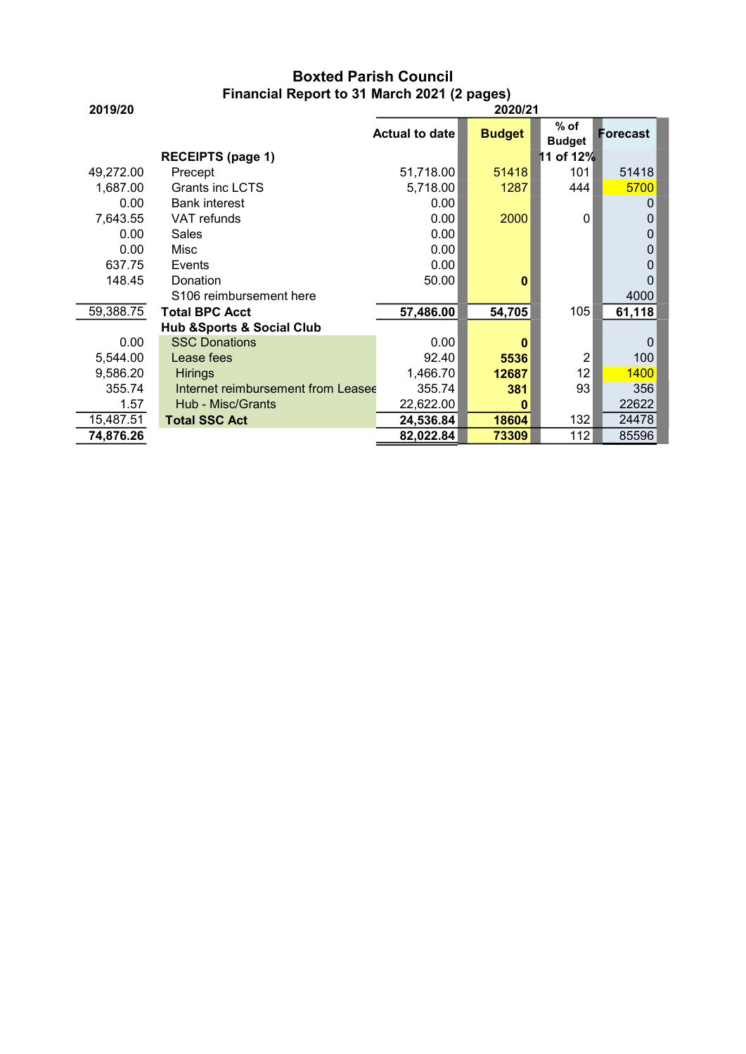## Boxted Parish Council Financial Report to 31 March 2021 (2 pages)

| 2019/20                  | I III AII CIAI INGLOITTU O JI IVIATCH ZUZ ITZ PAGGOJ<br>2020/21 |                       |               |                         |          |
|--------------------------|-----------------------------------------------------------------|-----------------------|---------------|-------------------------|----------|
|                          |                                                                 | <b>Actual to date</b> | <b>Budget</b> | $%$ of<br><b>Budget</b> | Forecast |
| <b>RECEIPTS (page 1)</b> |                                                                 |                       |               | 11 of 12%               |          |
| 49,272.00                | Precept                                                         | 51,718.00             | 51418         | 101                     | 51418    |
| 1,687.00                 | <b>Grants inc LCTS</b>                                          | 5,718.00              | 1287          | 444                     | 5700     |
| 0.00                     | <b>Bank interest</b>                                            | 0.00                  |               |                         | 0        |
| 7,643.55                 | VAT refunds                                                     | 0.00                  | 2000          | $\mathbf{0}$            | 0        |
| 0.00                     | Sales                                                           | 0.00                  |               |                         | 0        |
| 0.00                     | Misc                                                            | 0.00                  |               |                         | $\Omega$ |
| 637.75                   | Events                                                          | 0.00                  |               |                         | 0        |
| 148.45                   | Donation                                                        | 50.00                 | 0             |                         | 0        |
|                          | S106 reimbursement here                                         |                       |               |                         | 4000     |
| 59,388.75                | <b>Total BPC Acct</b>                                           | 57,486.00             | 54,705        | 105                     | 61,118   |
|                          | <b>Hub &amp;Sports &amp; Social Club</b>                        |                       |               |                         |          |
| 0.00                     | <b>SSC Donations</b>                                            | 0.00                  | 0             |                         | $\Omega$ |
| 5,544.00                 | Lease fees                                                      | 92.40                 | 5536          | 2                       | 100      |
| 9,586.20                 | <b>Hirings</b>                                                  | 1,466.70              | 12687         | 12                      | 1400     |
| 355.74                   | Internet reimbursement from Leasee                              | 355.74                | 381           | 93                      | 356      |
| 1.57                     | Hub - Misc/Grants                                               | 22,622.00             | 0             |                         | 22622    |
| 15,487.51                | <b>Total SSC Act</b>                                            | 24,536.84             | 18604         | 132                     | 24478    |
| 74,876.26                |                                                                 | 82,022.84             | 73309         | 112                     | 85596    |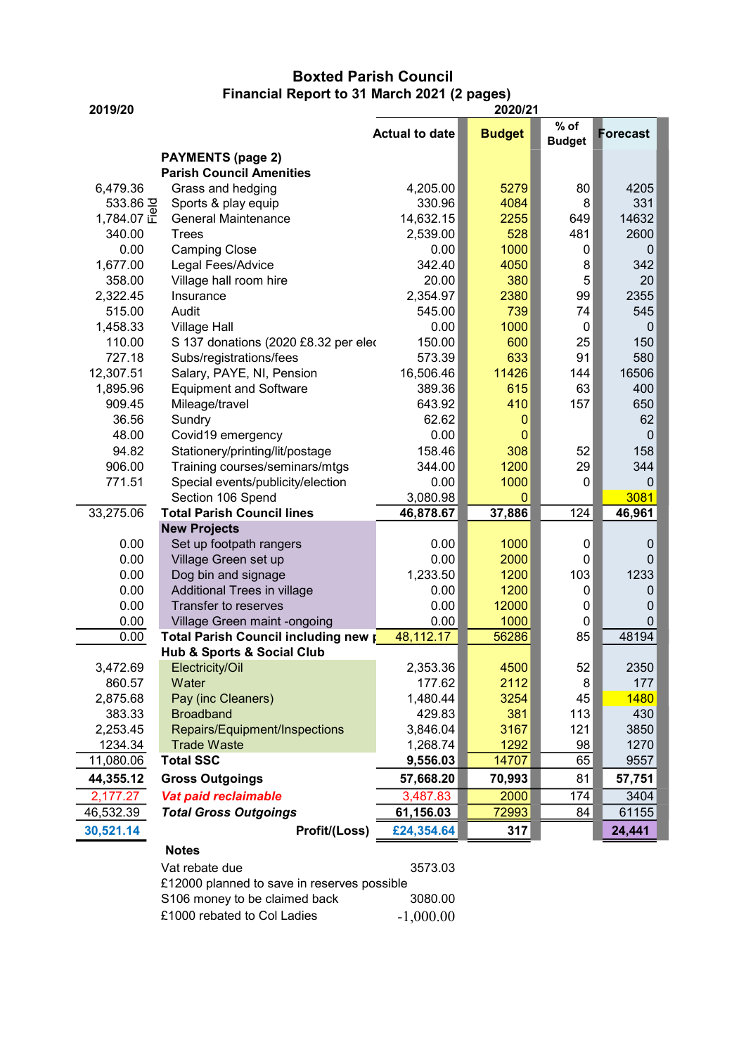## Boxted Parish Council Financial Report to 31 March 2021 (2 pages)

| 2019/20    |                                             | 2020/21               |               |                         |                  |  |
|------------|---------------------------------------------|-----------------------|---------------|-------------------------|------------------|--|
|            |                                             | <b>Actual to date</b> | <b>Budget</b> | $%$ of<br><b>Budget</b> | <b>Forecast</b>  |  |
|            | <b>PAYMENTS (page 2)</b>                    |                       |               |                         |                  |  |
|            | <b>Parish Council Amenities</b>             |                       |               |                         |                  |  |
| 6,479.36   | Grass and hedging                           | 4,205.00              | 5279          | 80                      | 4205             |  |
| 533.86 공   | Sports & play equip                         | 330.96                | 4084          | 8                       | 331              |  |
| 1,784.07 正 | <b>General Maintenance</b>                  | 14,632.15             | 2255          | 649                     | 14632            |  |
| 340.00     | <b>Trees</b>                                | 2,539.00              | 528           | 481                     | 2600             |  |
| 0.00       | <b>Camping Close</b>                        | 0.00                  | 1000          | 0                       | 0                |  |
| 1,677.00   | Legal Fees/Advice                           | 342.40                | 4050          | 8                       | 342              |  |
| 358.00     | Village hall room hire                      | 20.00                 | 380           | 5                       | 20               |  |
| 2,322.45   | Insurance                                   | 2,354.97              | 2380          | 99                      | 2355             |  |
| 515.00     | Audit                                       | 545.00                | 739           | 74                      | 545              |  |
| 1,458.33   | <b>Village Hall</b>                         | 0.00                  | 1000          | $\mathbf 0$             | $\mathbf 0$      |  |
| 110.00     | S 137 donations (2020 £8.32 per eleo        | 150.00                | 600           | 25                      | 150              |  |
| 727.18     | Subs/registrations/fees                     | 573.39                | 633           | 91                      | 580              |  |
| 12,307.51  | Salary, PAYE, NI, Pension                   | 16,506.46             | 11426         | 144                     | 16506            |  |
| 1,895.96   | <b>Equipment and Software</b>               | 389.36                | 615           | 63                      | 400              |  |
| 909.45     | Mileage/travel                              | 643.92                | 410           | 157                     | 650              |  |
| 36.56      | Sundry                                      | 62.62                 | 0             |                         | 62               |  |
| 48.00      | Covid19 emergency                           | 0.00                  | 0             |                         | 0                |  |
| 94.82      | Stationery/printing/lit/postage             | 158.46                | 308           | 52                      | 158              |  |
| 906.00     | Training courses/seminars/mtgs              | 344.00                | 1200          | 29                      | 344              |  |
| 771.51     | Special events/publicity/election           | 0.00                  | 1000          | 0                       | 0                |  |
|            | Section 106 Spend                           | 3,080.98              | $\mathbf{0}$  |                         | 3081             |  |
| 33,275.06  | <b>Total Parish Council lines</b>           | 46,878.67             | 37,886        | 124                     | 46,961           |  |
|            | <b>New Projects</b>                         |                       |               |                         |                  |  |
| 0.00       | Set up footpath rangers                     | 0.00                  | 1000          | $\mathbf 0$             | $\boldsymbol{0}$ |  |
| 0.00       | Village Green set up                        | 0.00                  | 2000          | 0                       | $\mathbf 0$      |  |
| 0.00       | Dog bin and signage                         | 1,233.50              | 1200          | 103                     | 1233             |  |
| 0.00       | Additional Trees in village                 | 0.00                  | 1200          | 0                       | 0                |  |
| 0.00       | Transfer to reserves                        | 0.00                  | 12000         | 0                       | $\mathbf 0$      |  |
| 0.00       | Village Green maint -ongoing                | 0.00                  | 1000          | 0                       | $\mathbf 0$      |  |
| 0.00       | Total Parish Council including new p        | 48,112.17             | 56286         | 85                      | 48194            |  |
|            | <b>Hub &amp; Sports &amp; Social Club</b>   |                       |               |                         |                  |  |
| 3,472.69   | Electricity/Oil                             | 2,353.36              | 4500          | 52                      | 2350             |  |
| 860.57     | Water                                       | 177.62                | 2112          | 8                       | 177              |  |
| 2,875.68   | Pay (inc Cleaners)                          | 1,480.44              | 3254          | 45                      | 1480             |  |
| 383.33     | <b>Broadband</b>                            | 429.83                | 381           | 113                     | 430              |  |
| 2,253.45   | Repairs/Equipment/Inspections               | 3,846.04              | 3167          | 121                     | 3850             |  |
| 1234.34    | <b>Trade Waste</b>                          | 1,268.74              | 1292          | 98                      | 1270             |  |
| 11,080.06  | <b>Total SSC</b>                            | 9,556.03              | 14707         | 65                      | 9557             |  |
| 44,355.12  | <b>Gross Outgoings</b>                      | 57,668.20             | 70,993        | 81                      | 57,751           |  |
| 2,177.27   | Vat paid reclaimable                        | 3,487.83              | 2000          | 174                     | 3404             |  |
| 46,532.39  | <b>Total Gross Outgoings</b>                | 61,156.03             | 72993         | 84                      | 61155            |  |
| 30,521.14  | Profit/(Loss)                               | £24,354.64            | 317           |                         | 24,441           |  |
|            | <b>Notes</b>                                |                       |               |                         |                  |  |
|            | Vat rebate due                              | 3573.03               |               |                         |                  |  |
|            | £12000 planned to save in reserves possible |                       |               |                         |                  |  |
|            | S106 money to be claimed back               | 3080.00               |               |                         |                  |  |
|            | £1000 rebated to Col Ladies                 | $-1,000.00$           |               |                         |                  |  |

|                             | - - - - - - |
|-----------------------------|-------------|
| £1000 rebated to Col Ladies | $-1,000.0$  |